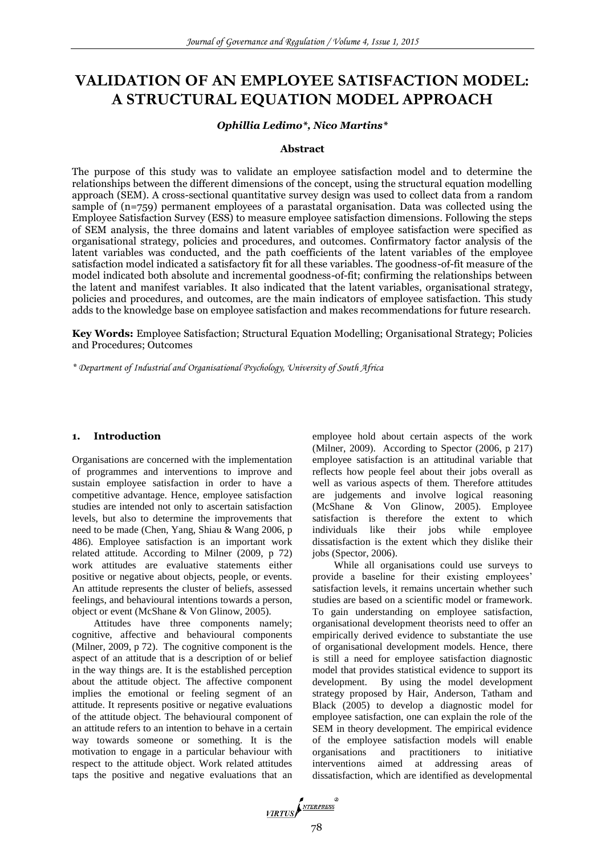# **VALIDATION OF AN EMPLOYEE SATISFACTION MODEL: A STRUCTURAL EQUATION MODEL APPROACH**

#### *Ophillia Ledimo\*, Nico Martins\**

#### **Abstract**

The purpose of this study was to validate an employee satisfaction model and to determine the relationships between the different dimensions of the concept, using the structural equation modelling approach (SEM). A cross-sectional quantitative survey design was used to collect data from a random sample of (n=759) permanent employees of a parastatal organisation. Data was collected using the Employee Satisfaction Survey (ESS) to measure employee satisfaction dimensions. Following the steps of SEM analysis, the three domains and latent variables of employee satisfaction were specified as organisational strategy, policies and procedures, and outcomes. Confirmatory factor analysis of the latent variables was conducted, and the path coefficients of the latent variables of the employee satisfaction model indicated a satisfactory fit for all these variables. The goodness-of-fit measure of the model indicated both absolute and incremental goodness-of-fit; confirming the relationships between the latent and manifest variables. It also indicated that the latent variables, organisational strategy, policies and procedures, and outcomes, are the main indicators of employee satisfaction. This study adds to the knowledge base on employee satisfaction and makes recommendations for future research.

**Key Words:** Employee Satisfaction; Structural Equation Modelling; Organisational Strategy; Policies and Procedures; Outcomes

*\* Department of Industrial and Organisational Psychology, University of South Africa*

#### **1. Introduction**

Organisations are concerned with the implementation of programmes and interventions to improve and sustain employee satisfaction in order to have a competitive advantage. Hence, employee satisfaction studies are intended not only to ascertain satisfaction levels, but also to determine the improvements that need to be made (Chen, Yang, Shiau & Wang 2006, p 486). Employee satisfaction is an important work related attitude. According to Milner (2009, p 72) work attitudes are evaluative statements either positive or negative about objects, people, or events. An attitude represents the cluster of beliefs, assessed feelings, and behavioural intentions towards a person, object or event (McShane & Von Glinow, 2005).

Attitudes have three components namely; cognitive, affective and behavioural components (Milner, 2009, p 72). The cognitive component is the aspect of an attitude that is a description of or belief in the way things are. It is the established perception about the attitude object. The affective component implies the emotional or feeling segment of an attitude. It represents positive or negative evaluations of the attitude object. The behavioural component of an attitude refers to an intention to behave in a certain way towards someone or something. It is the motivation to engage in a particular behaviour with respect to the attitude object. Work related attitudes taps the positive and negative evaluations that an employee hold about certain aspects of the work (Milner, 2009). According to Spector (2006, p 217) employee satisfaction is an attitudinal variable that reflects how people feel about their jobs overall as well as various aspects of them. Therefore attitudes are judgements and involve logical reasoning<br>(McShane & Von Glinow, 2005). Employee (McShane & Von Glinow, 2005). Employee satisfaction is therefore the extent to which individuals like their jobs while employee dissatisfaction is the extent which they dislike their jobs (Spector, 2006).

While all organisations could use surveys to provide a baseline for their existing employees' satisfaction levels, it remains uncertain whether such studies are based on a scientific model or framework. To gain understanding on employee satisfaction, organisational development theorists need to offer an empirically derived evidence to substantiate the use of organisational development models. Hence, there is still a need for employee satisfaction diagnostic model that provides statistical evidence to support its development. By using the model development strategy proposed by Hair, Anderson, Tatham and Black (2005) to develop a diagnostic model for employee satisfaction, one can explain the role of the SEM in theory development. The empirical evidence of the employee satisfaction models will enable organisations and practitioners to initiative interventions aimed at addressing areas of dissatisfaction, which are identified as developmental

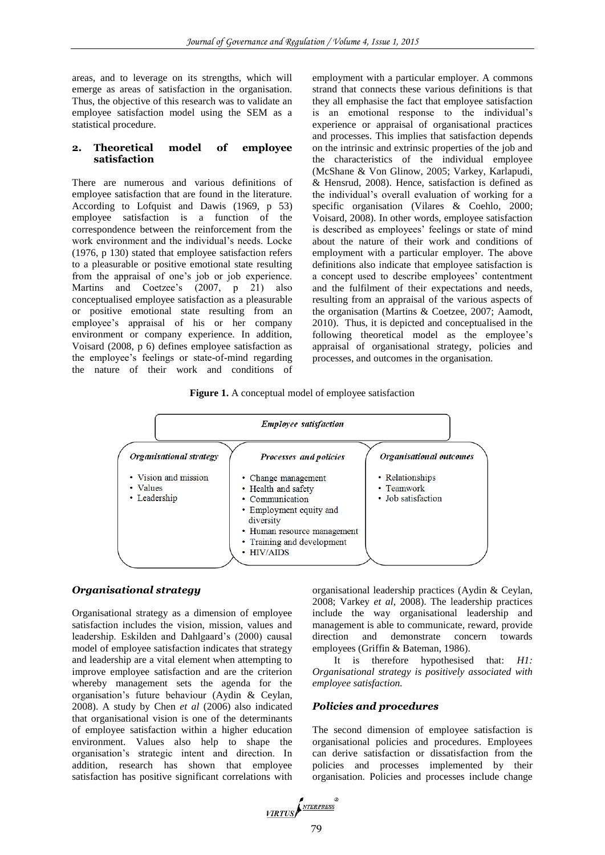areas, and to leverage on its strengths, which will emerge as areas of satisfaction in the organisation. Thus, the objective of this research was to validate an employee satisfaction model using the SEM as a statistical procedure.

#### **2. Theoretical model of employee satisfaction**

There are numerous and various definitions of employee satisfaction that are found in the literature. According to Lofquist and Dawis (1969, p 53) employee satisfaction is a function of the correspondence between the reinforcement from the work environment and the individual's needs. Locke (1976, p 130) stated that employee satisfaction refers to a pleasurable or positive emotional state resulting from the appraisal of one's job or job experience. Martins and Coetzee's (2007, p 21) also conceptualised employee satisfaction as a pleasurable or positive emotional state resulting from an employee's appraisal of his or her company environment or company experience. In addition, Voisard (2008, p 6) defines employee satisfaction as the employee's feelings or state-of-mind regarding the nature of their work and conditions of employment with a particular employer. A commons strand that connects these various definitions is that they all emphasise the fact that employee satisfaction is an emotional response to the individual's experience or appraisal of organisational practices and processes. This implies that satisfaction depends on the intrinsic and extrinsic properties of the job and the characteristics of the individual employee (McShane & Von Glinow, 2005; Varkey, Karlapudi, & Hensrud, 2008). Hence, satisfaction is defined as the individual's overall evaluation of working for a specific organisation (Vilares & Coehlo, 2000; Voisard, 2008). In other words, employee satisfaction is described as employees' feelings or state of mind about the nature of their work and conditions of employment with a particular employer. The above definitions also indicate that employee satisfaction is a concept used to describe employees' contentment and the fulfilment of their expectations and needs, resulting from an appraisal of the various aspects of the organisation (Martins & Coetzee, 2007; Aamodt, 2010). Thus, it is depicted and conceptualised in the following theoretical model as the employee's appraisal of organisational strategy, policies and processes, and outcomes in the organisation.

**Figure 1.** A conceptual model of employee satisfaction



#### *Organisational strategy*

Organisational strategy as a dimension of employee satisfaction includes the vision, mission, values and leadership. Eskilden and Dahlgaard's (2000) causal model of employee satisfaction indicates that strategy and leadership are a vital element when attempting to improve employee satisfaction and are the criterion whereby management sets the agenda for the organisation's future behaviour (Aydin & Ceylan, 2008). A study by Chen *et al* (2006) also indicated that organisational vision is one of the determinants of employee satisfaction within a higher education environment. Values also help to shape the organisation's strategic intent and direction. In addition, research has shown that employee satisfaction has positive significant correlations with

organisational leadership practices (Aydin & Ceylan, 2008; Varkey *et al*, 2008). The leadership practices include the way organisational leadership and management is able to communicate, reward, provide direction and demonstrate concern towards employees (Griffin & Bateman, 1986).

It is therefore hypothesised that: *H1: Organisational strategy is positively associated with employee satisfaction.*

# *Policies and procedures*

The second dimension of employee satisfaction is organisational policies and procedures. Employees can derive satisfaction or dissatisfaction from the policies and processes implemented by their organisation. Policies and processes include change

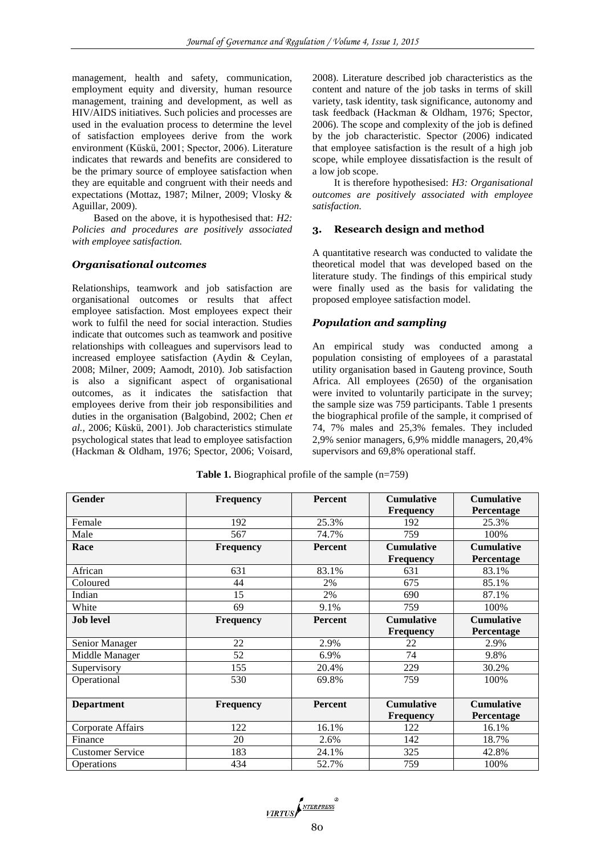management, health and safety, communication, employment equity and diversity, human resource management, training and development, as well as HIV/AIDS initiatives. Such policies and processes are used in the evaluation process to determine the level of satisfaction employees derive from the work environment (Küskü, 2001; Spector, 2006). Literature indicates that rewards and benefits are considered to be the primary source of employee satisfaction when they are equitable and congruent with their needs and expectations (Mottaz, 1987; Milner, 2009; Vlosky & Aguillar, 2009).

Based on the above, it is hypothesised that: *H2: Policies and procedures are positively associated with employee satisfaction.*

# *Organisational outcomes*

Relationships, teamwork and job satisfaction are organisational outcomes or results that affect employee satisfaction. Most employees expect their work to fulfil the need for social interaction. Studies indicate that outcomes such as teamwork and positive relationships with colleagues and supervisors lead to increased employee satisfaction (Aydin & Ceylan, 2008; Milner, 2009; Aamodt, 2010). Job satisfaction is also a significant aspect of organisational outcomes, as it indicates the satisfaction that employees derive from their job responsibilities and duties in the organisation (Balgobind, 2002; Chen *et al.,* 2006; Küskü, 2001). Job characteristics stimulate psychological states that lead to employee satisfaction (Hackman & Oldham, 1976; Spector, 2006; Voisard, 2008). Literature described job characteristics as the content and nature of the job tasks in terms of skill variety, task identity, task significance, autonomy and task feedback (Hackman & Oldham, 1976; Spector, 2006). The scope and complexity of the job is defined by the job characteristic. Spector (2006) indicated that employee satisfaction is the result of a high job scope, while employee dissatisfaction is the result of a low job scope.

It is therefore hypothesised: *H3: Organisational outcomes are positively associated with employee satisfaction.*

# **3. Research design and method**

A quantitative research was conducted to validate the theoretical model that was developed based on the literature study. The findings of this empirical study were finally used as the basis for validating the proposed employee satisfaction model.

#### *Population and sampling*

An empirical study was conducted among a population consisting of employees of a parastatal utility organisation based in Gauteng province, South Africa. All employees (2650) of the organisation were invited to voluntarily participate in the survey; the sample size was 759 participants. Table 1 presents the biographical profile of the sample, it comprised of 74, 7% males and 25,3% females. They included 2,9% senior managers, 6,9% middle managers, 20,4% supervisors and 69,8% operational staff.

| <b>Gender</b>           | Frequency        | <b>Percent</b> | <b>Cumulative</b> | <b>Cumulative</b> |
|-------------------------|------------------|----------------|-------------------|-------------------|
|                         |                  |                | <b>Frequency</b>  | Percentage        |
| Female                  | 192              | 25.3%          | 192               | 25.3%             |
| Male                    | 567              | 74.7%          | 759               | 100%              |
| Race                    | <b>Frequency</b> | <b>Percent</b> | <b>Cumulative</b> | <b>Cumulative</b> |
|                         |                  |                | <b>Frequency</b>  | Percentage        |
| African                 | 631              | 83.1%          | 631               | 83.1%             |
| Coloured                | 44               | 2%             | 675               | 85.1%             |
| Indian                  | 15               | 2%             | 690               | 87.1%             |
| White                   | 69               | 9.1%           | 759               | 100%              |
| <b>Job level</b>        | Frequency        | <b>Percent</b> | <b>Cumulative</b> | <b>Cumulative</b> |
|                         |                  |                | Frequency         | Percentage        |
| Senior Manager          | 22               | 2.9%           | 22                | 2.9%              |
| Middle Manager          | 52               | 6.9%           | 74                | 9.8%              |
| Supervisory             | 155              | 20.4%          | 229               | 30.2%             |
| Operational             | 530              | 69.8%          | 759               | 100%              |
|                         |                  |                |                   |                   |
| <b>Department</b>       | <b>Frequency</b> | Percent        | <b>Cumulative</b> | <b>Cumulative</b> |
|                         |                  |                | <b>Frequency</b>  | Percentage        |
| Corporate Affairs       | 122              | 16.1%          | 122               | 16.1%             |
| Finance                 | 20               | 2.6%           | 142               | 18.7%             |
| <b>Customer Service</b> | 183              | 24.1%          | 325               | 42.8%             |
| <b>Operations</b>       | 434              | 52.7%          | 759               | 100%              |

**Table 1.** Biographical profile of the sample (n=759)

VIRTUS NTERPRESS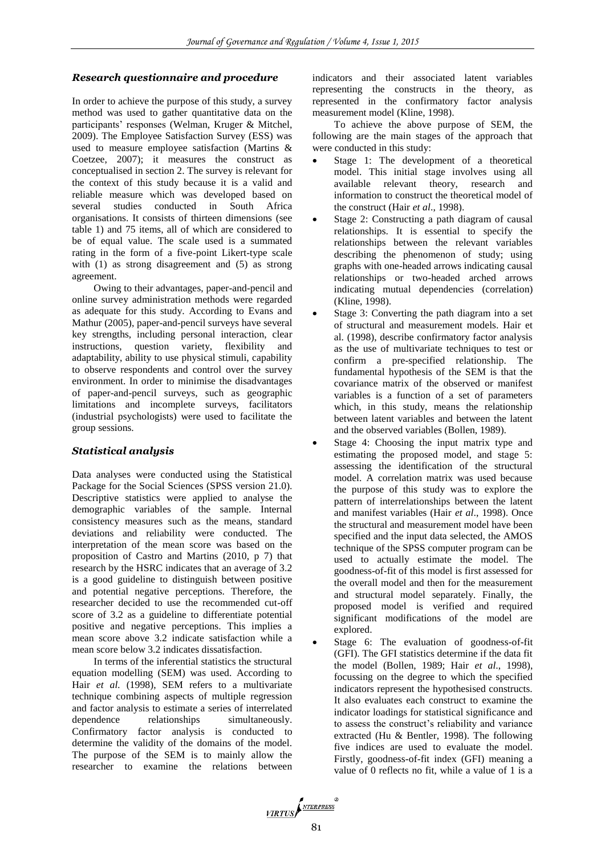# *Research questionnaire and procedure*

In order to achieve the purpose of this study, a survey method was used to gather quantitative data on the participants' responses (Welman, Kruger & Mitchel, 2009). The Employee Satisfaction Survey (ESS) was used to measure employee satisfaction (Martins & Coetzee, 2007); it measures the construct as conceptualised in section 2. The survey is relevant for the context of this study because it is a valid and reliable measure which was developed based on several studies conducted in South Africa organisations. It consists of thirteen dimensions (see table 1) and 75 items, all of which are considered to be of equal value. The scale used is a summated rating in the form of a five-point Likert-type scale with (1) as strong disagreement and (5) as strong agreement.

Owing to their advantages, paper-and-pencil and online survey administration methods were regarded as adequate for this study. According to Evans and Mathur (2005), paper-and-pencil surveys have several key strengths, including personal interaction, clear instructions, question variety, flexibility and adaptability, ability to use physical stimuli, capability to observe respondents and control over the survey environment. In order to minimise the disadvantages of paper-and-pencil surveys, such as geographic limitations and incomplete surveys, facilitators (industrial psychologists) were used to facilitate the group sessions.

# *Statistical analysis*

Data analyses were conducted using the Statistical Package for the Social Sciences (SPSS version 21.0). Descriptive statistics were applied to analyse the demographic variables of the sample. Internal consistency measures such as the means, standard deviations and reliability were conducted. The interpretation of the mean score was based on the proposition of Castro and Martins (2010, p 7) that research by the HSRC indicates that an average of 3.2 is a good guideline to distinguish between positive and potential negative perceptions. Therefore, the researcher decided to use the recommended cut-off score of 3.2 as a guideline to differentiate potential positive and negative perceptions. This implies a mean score above 3.2 indicate satisfaction while a mean score below 3.2 indicates dissatisfaction.

In terms of the inferential statistics the structural equation modelling (SEM) was used. According to Hair *et al.* (1998), SEM refers to a multivariate technique combining aspects of multiple regression and factor analysis to estimate a series of interrelated dependence relationships simultaneously. Confirmatory factor analysis is conducted to determine the validity of the domains of the model. The purpose of the SEM is to mainly allow the researcher to examine the relations between

indicators and their associated latent variables representing the constructs in the theory, as represented in the confirmatory factor analysis measurement model (Kline, 1998).

To achieve the above purpose of SEM, the following are the main stages of the approach that were conducted in this study:

- Stage 1: The development of a theoretical model. This initial stage involves using all available relevant theory, research and information to construct the theoretical model of the construct (Hair *et al*., 1998).
- Stage 2: Constructing a path diagram of causal relationships. It is essential to specify the relationships between the relevant variables describing the phenomenon of study; using graphs with one-headed arrows indicating causal relationships or two-headed arched arrows indicating mutual dependencies (correlation) (Kline, 1998).
- Stage 3: Converting the path diagram into a set of structural and measurement models. Hair et al. (1998), describe confirmatory factor analysis as the use of multivariate techniques to test or confirm a pre-specified relationship. The fundamental hypothesis of the SEM is that the covariance matrix of the observed or manifest variables is a function of a set of parameters which, in this study, means the relationship between latent variables and between the latent and the observed variables (Bollen, 1989).
- Stage 4: Choosing the input matrix type and estimating the proposed model, and stage 5: assessing the identification of the structural model. A correlation matrix was used because the purpose of this study was to explore the pattern of interrelationships between the latent and manifest variables (Hair *et al*., 1998). Once the structural and measurement model have been specified and the input data selected, the AMOS technique of the SPSS computer program can be used to actually estimate the model. The goodness-of-fit of this model is first assessed for the overall model and then for the measurement and structural model separately. Finally, the proposed model is verified and required significant modifications of the model are explored.
- Stage 6: The evaluation of goodness-of-fit (GFI). The GFI statistics determine if the data fit the model (Bollen, 1989; Hair *et al*., 1998), focussing on the degree to which the specified indicators represent the hypothesised constructs. It also evaluates each construct to examine the indicator loadings for statistical significance and to assess the construct's reliability and variance extracted (Hu & Bentler, 1998). The following five indices are used to evaluate the model. Firstly, goodness-of-fit index (GFI) meaning a value of 0 reflects no fit, while a value of 1 is a

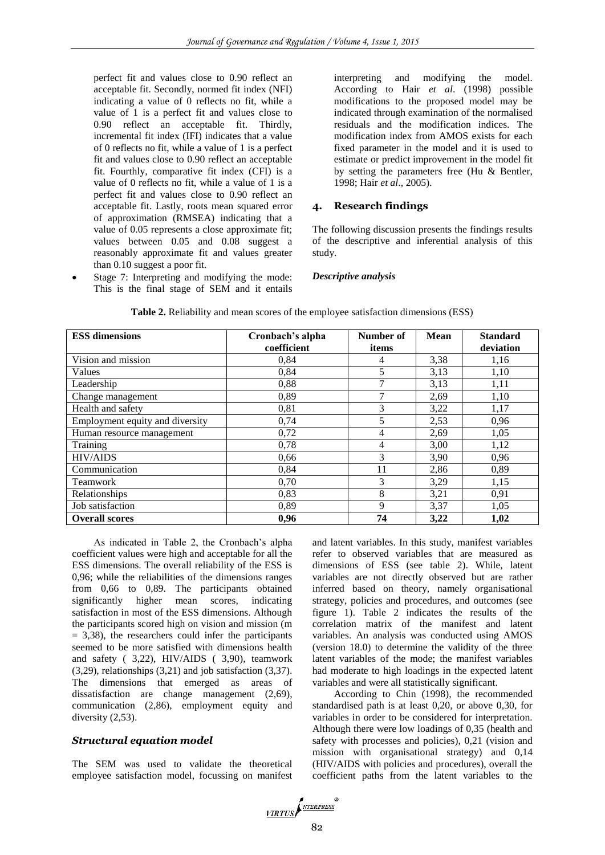perfect fit and values close to 0.90 reflect an acceptable fit. Secondly, normed fit index (NFI) indicating a value of 0 reflects no fit, while a value of 1 is a perfect fit and values close to 0.90 reflect an acceptable fit. Thirdly, incremental fit index (IFI) indicates that a value of 0 reflects no fit, while a value of 1 is a perfect fit and values close to 0.90 reflect an acceptable fit. Fourthly, comparative fit index (CFI) is a value of 0 reflects no fit, while a value of 1 is a perfect fit and values close to 0.90 reflect an acceptable fit. Lastly, roots mean squared error of approximation (RMSEA) indicating that a value of 0.05 represents a close approximate fit; values between 0.05 and 0.08 suggest a reasonably approximate fit and values greater than 0.10 suggest a poor fit.

 Stage 7: Interpreting and modifying the mode: This is the final stage of SEM and it entails

interpreting and modifying the model. According to Hair *et al*. (1998) possible modifications to the proposed model may be indicated through examination of the normalised residuals and the modification indices. The modification index from AMOS exists for each fixed parameter in the model and it is used to estimate or predict improvement in the model fit by setting the parameters free (Hu & Bentler, 1998; Hair *et al*., 2005).

# **4. Research findings**

The following discussion presents the findings results of the descriptive and inferential analysis of this study.

# *Descriptive analysis*

| <b>ESS dimensions</b>           | Cronbach's alpha<br>coefficient | Number of<br>items | <b>Mean</b> | <b>Standard</b><br>deviation |
|---------------------------------|---------------------------------|--------------------|-------------|------------------------------|
|                                 |                                 |                    |             |                              |
| Vision and mission              | 0,84                            | 4                  | 3,38        | 1,16                         |
| Values                          | 0,84                            | 5                  | 3,13        | 1,10                         |
| Leadership                      | 0.88                            |                    | 3,13        | 1,11                         |
| Change management               | 0.89                            |                    | 2,69        | 1,10                         |
| Health and safety               | 0,81                            | 3                  | 3,22        | 1,17                         |
| Employment equity and diversity | 0,74                            | 5                  | 2,53        | 0,96                         |
| Human resource management       | 0,72                            | 4                  | 2,69        | 1,05                         |
| Training                        | 0,78                            | 4                  | 3,00        | 1,12                         |
| <b>HIV/AIDS</b>                 | 0.66                            | 3                  | 3,90        | 0,96                         |
| Communication                   | 0,84                            | 11                 | 2,86        | 0,89                         |
| Teamwork                        | 0,70                            | 3                  | 3,29        | 1,15                         |
| Relationships                   | 0,83                            | 8                  | 3,21        | 0,91                         |
| Job satisfaction                | 0,89                            | 9                  | 3,37        | 1,05                         |
| <b>Overall scores</b>           | 0,96                            | 74                 | 3,22        | 1,02                         |

**Table 2.** Reliability and mean scores of the employee satisfaction dimensions (ESS)

As indicated in Table 2, the Cronbach's alpha coefficient values were high and acceptable for all the ESS dimensions. The overall reliability of the ESS is 0,96; while the reliabilities of the dimensions ranges from 0,66 to 0,89. The participants obtained significantly higher mean scores, indicating satisfaction in most of the ESS dimensions. Although the participants scored high on vision and mission (m  $= 3,38$ ), the researchers could infer the participants seemed to be more satisfied with dimensions health and safety ( 3,22), HIV/AIDS ( 3,90), teamwork (3,29), relationships (3,21) and job satisfaction (3,37). The dimensions that emerged as areas of dissatisfaction are change management (2,69), communication (2,86), employment equity and diversity  $(2,53)$ .

# *Structural equation model*

The SEM was used to validate the theoretical employee satisfaction model, focussing on manifest and latent variables. In this study, manifest variables refer to observed variables that are measured as dimensions of ESS (see table 2). While, latent variables are not directly observed but are rather inferred based on theory, namely organisational strategy, policies and procedures, and outcomes (see figure 1). Table 2 indicates the results of the correlation matrix of the manifest and latent variables. An analysis was conducted using AMOS (version 18.0) to determine the validity of the three latent variables of the mode; the manifest variables had moderate to high loadings in the expected latent variables and were all statistically significant.

According to Chin (1998), the recommended standardised path is at least 0,20, or above 0,30, for variables in order to be considered for interpretation. Although there were low loadings of 0,35 (health and safety with processes and policies), 0,21 (vision and mission with organisational strategy) and 0,14 (HIV/AIDS with policies and procedures), overall the coefficient paths from the latent variables to the

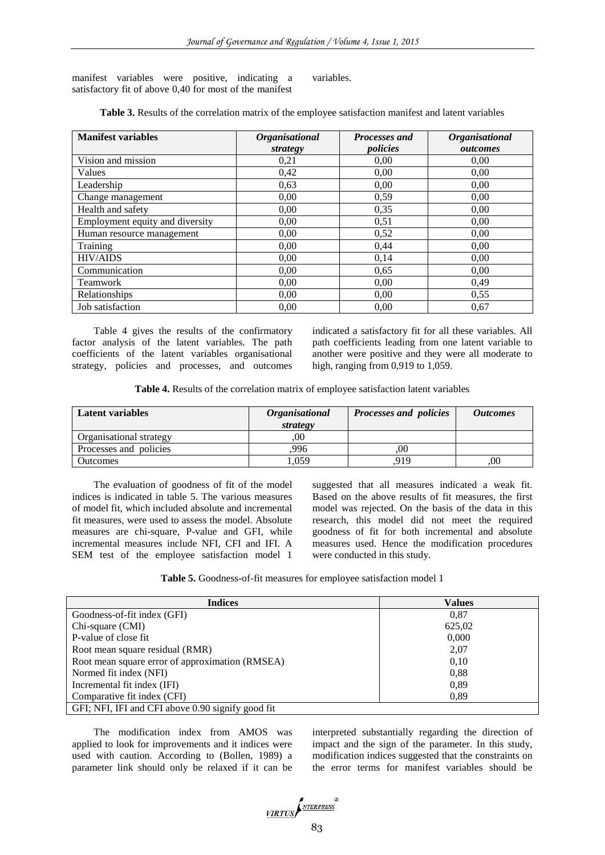manifest variables were positive, indicating a satisfactory fit of above 0,40 for most of the manifest variables.

**Table 3.** Results of the correlation matrix of the employee satisfaction manifest and latent variables

| <b>Manifest variables</b>       | <i><b>Organisational</b></i> | <b>Processes and</b> | <b>Organisational</b> |
|---------------------------------|------------------------------|----------------------|-----------------------|
|                                 | strategy                     | policies             | outcomes              |
| Vision and mission              | 0,21                         | 0,00                 | 0.00                  |
| Values                          | 0,42                         | 0,00                 | 0,00                  |
| Leadership                      | 0,63                         | 0,00                 | 0.00                  |
| Change management               | 0,00                         | 0,59                 | 0,00                  |
| Health and safety               | 0,00                         | 0,35                 | 0,00                  |
| Employment equity and diversity | 0.00                         | 0,51                 | 0.00                  |
| Human resource management       | 0.00                         | 0.52                 | 0.00                  |
| Training                        | 0,00                         | 0,44                 | 0.00                  |
| <b>HIV/AIDS</b>                 | 0.00                         | 0,14                 | 0,00                  |
| Communication                   | 0.00                         | 0,65                 | 0,00                  |
| Teamwork                        | 0,00                         | 0,00                 | 0,49                  |
| Relationships                   | 0,00                         | 0,00                 | 0,55                  |
| Job satisfaction                | 0,00                         | 0,00                 | 0,67                  |

Table 4 gives the results of the confirmatory factor analysis of the latent variables. The path coefficients of the latent variables organisational strategy, policies and processes, and outcomes

indicated a satisfactory fit for all these variables. All path coefficients leading from one latent variable to another were positive and they were all moderate to high, ranging from 0,919 to 1,059.

**Table 4.** Results of the correlation matrix of employee satisfaction latent variables

| <b>Latent variables</b> | <b>Organisational</b> | <b>Processes and policies</b> | <i><b>Outcomes</b></i> |
|-------------------------|-----------------------|-------------------------------|------------------------|
|                         | strategy              |                               |                        |
| Organisational strategy | .00                   |                               |                        |
| Processes and policies  | 996                   | 00                            |                        |
| <b>Outcomes</b>         | .059                  | .919                          | .00                    |

The evaluation of goodness of fit of the model indices is indicated in table 5. The various measures of model fit, which included absolute and incremental fit measures, were used to assess the model. Absolute measures are chi-square, P-value and GFI, while incremental measures include NFI, CFI and IFI. A SEM test of the employee satisfaction model 1 suggested that all measures indicated a weak fit. Based on the above results of fit measures, the first model was rejected. On the basis of the data in this research, this model did not meet the required goodness of fit for both incremental and absolute measures used. Hence the modification procedures were conducted in this study.

**Table 5.** Goodness-of-fit measures for employee satisfaction model 1

| <b>Indices</b>                                    | Values |
|---------------------------------------------------|--------|
| Goodness-of-fit index (GFI)                       | 0.87   |
| Chi-square (CMI)                                  | 625,02 |
| P-value of close fit                              | 0,000  |
| Root mean square residual (RMR)                   | 2,07   |
| Root mean square error of approximation (RMSEA)   | 0.10   |
| Normed fit index (NFI)                            | 0.88   |
| Incremental fit index (IFI)                       | 0.89   |
| Comparative fit index (CFI)                       | 0,89   |
| GFI; NFI, IFI and CFI above 0.90 signify good fit |        |

The modification index from AMOS was applied to look for improvements and it indices were used with caution. According to (Bollen, 1989) a parameter link should only be relaxed if it can be

interpreted substantially regarding the direction of impact and the sign of the parameter. In this study, modification indices suggested that the constraints on the error terms for manifest variables should be

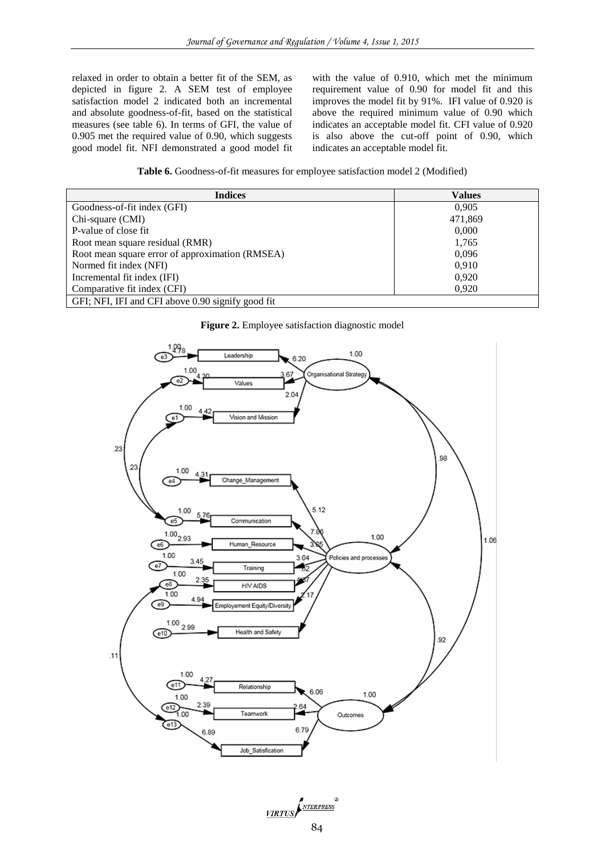relaxed in order to obtain a better fit of the SEM, as depicted in figure 2. A SEM test of employee satisfaction model 2 indicated both an incremental and absolute goodness-of-fit, based on the statistical measures (see table 6). In terms of GFI, the value of 0.905 met the required value of 0.90, which suggests good model fit. NFI demonstrated a good model fit with the value of 0.910, which met the minimum requirement value of 0.90 for model fit and this improves the model fit by 91%. IFI value of 0.920 is above the required minimum value of 0.90 which indicates an acceptable model fit. CFI value of 0.920 is also above the cut-off point of 0.90, which indicates an acceptable model fit.

**Table 6.** Goodness-of-fit measures for employee satisfaction model 2 (Modified)

| <b>Indices</b>                                    | Values  |
|---------------------------------------------------|---------|
| Goodness-of-fit index (GFI)                       | 0,905   |
| Chi-square (CMI)                                  | 471,869 |
| P-value of close fit                              | 0,000   |
| Root mean square residual (RMR)                   | 1,765   |
| Root mean square error of approximation (RMSEA)   | 0,096   |
| Normed fit index (NFI)                            | 0.910   |
| Incremental fit index (IFI)                       | 0,920   |
| Comparative fit index (CFI)                       | 0,920   |
| GFI; NFI, IFI and CFI above 0.90 signify good fit |         |

**Figure 2.** Employee satisfaction diagnostic model



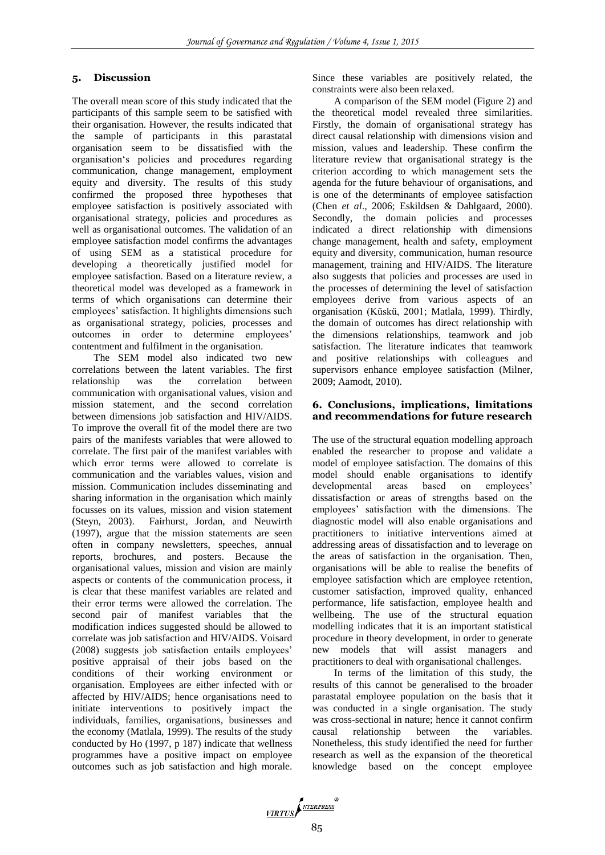# **5. Discussion**

The overall mean score of this study indicated that the participants of this sample seem to be satisfied with their organisation. However, the results indicated that the sample of participants in this parastatal organisation seem to be dissatisfied with the organisation's policies and procedures regarding communication, change management, employment equity and diversity. The results of this study confirmed the proposed three hypotheses that employee satisfaction is positively associated with organisational strategy, policies and procedures as well as organisational outcomes. The validation of an employee satisfaction model confirms the advantages of using SEM as a statistical procedure for developing a theoretically justified model for employee satisfaction. Based on a literature review, a theoretical model was developed as a framework in terms of which organisations can determine their employees' satisfaction. It highlights dimensions such as organisational strategy, policies, processes and outcomes in order to determine employees' contentment and fulfilment in the organisation.

The SEM model also indicated two new correlations between the latent variables. The first relationship was the correlation between communication with organisational values, vision and mission statement, and the second correlation between dimensions job satisfaction and HIV/AIDS. To improve the overall fit of the model there are two pairs of the manifests variables that were allowed to correlate. The first pair of the manifest variables with which error terms were allowed to correlate is communication and the variables values, vision and mission. Communication includes disseminating and sharing information in the organisation which mainly focusses on its values, mission and vision statement (Steyn, 2003). Fairhurst, Jordan, and Neuwirth (1997), argue that the mission statements are seen often in company newsletters, speeches, annual reports, brochures, and posters. Because the organisational values, mission and vision are mainly aspects or contents of the communication process, it is clear that these manifest variables are related and their error terms were allowed the correlation. The second pair of manifest variables that the modification indices suggested should be allowed to correlate was job satisfaction and HIV/AIDS. Voisard (2008) suggests job satisfaction entails employees' positive appraisal of their jobs based on the conditions of their working environment or organisation. Employees are either infected with or affected by HIV/AIDS; hence organisations need to initiate interventions to positively impact the individuals, families, organisations, businesses and the economy (Matlala, 1999). The results of the study conducted by Ho (1997, p 187) indicate that wellness programmes have a positive impact on employee outcomes such as job satisfaction and high morale. Since these variables are positively related, the constraints were also been relaxed.

A comparison of the SEM model (Figure 2) and the theoretical model revealed three similarities. Firstly, the domain of organisational strategy has direct causal relationship with dimensions vision and mission, values and leadership. These confirm the literature review that organisational strategy is the criterion according to which management sets the agenda for the future behaviour of organisations, and is one of the determinants of employee satisfaction (Chen *et al*., 2006; Eskildsen & Dahlgaard, 2000). Secondly, the domain policies and processes indicated a direct relationship with dimensions change management, health and safety, employment equity and diversity, communication, human resource management, training and HIV/AIDS. The literature also suggests that policies and processes are used in the processes of determining the level of satisfaction employees derive from various aspects of an organisation (Küskü, 2001; Matlala, 1999). Thirdly, the domain of outcomes has direct relationship with the dimensions relationships, teamwork and job satisfaction. The literature indicates that teamwork and positive relationships with colleagues and supervisors enhance employee satisfaction (Milner, 2009; Aamodt, 2010).

# **6. Conclusions, implications, limitations and recommendations for future research**

The use of the structural equation modelling approach enabled the researcher to propose and validate a model of employee satisfaction. The domains of this model should enable organisations to identify developmental areas based on employees' dissatisfaction or areas of strengths based on the employees' satisfaction with the dimensions. The diagnostic model will also enable organisations and practitioners to initiative interventions aimed at addressing areas of dissatisfaction and to leverage on the areas of satisfaction in the organisation. Then, organisations will be able to realise the benefits of employee satisfaction which are employee retention, customer satisfaction, improved quality, enhanced performance, life satisfaction, employee health and wellbeing. The use of the structural equation modelling indicates that it is an important statistical procedure in theory development, in order to generate new models that will assist managers and practitioners to deal with organisational challenges.

In terms of the limitation of this study, the results of this cannot be generalised to the broader parastatal employee population on the basis that it was conducted in a single organisation. The study was cross-sectional in nature; hence it cannot confirm causal relationship between the variables. Nonetheless, this study identified the need for further research as well as the expansion of the theoretical knowledge based on the concept employee

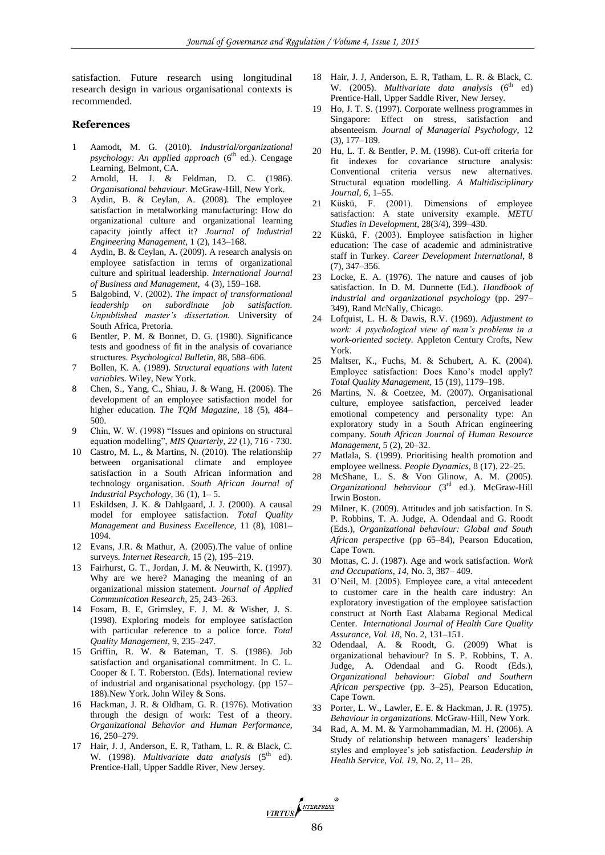satisfaction. Future research using longitudinal research design in various organisational contexts is recommended.

#### **References**

- 1 Aamodt, M. G. (2010). *Industrial/organizational psychology: An applied approach* (6<sup>th</sup> ed.). Cengage Learning, Belmont, CA.
- 2 Arnold, H. J. & Feldman, D. C. (1986). *Organisational behaviour.* McGraw-Hill, New York.
- 3 Aydin, B. & Ceylan, A. (2008). The employee satisfaction in metalworking manufacturing: How do organizational culture and organizational learning capacity jointly affect it? *Journal of Industrial Engineering Management,* 1 (2), 143–168.
- 4 Aydin, B. & Ceylan, A. (2009). A research analysis on employee satisfaction in terms of organizational culture and spiritual leadership. *International Journal of Business and Management,* 4 (3), 159–168.
- 5 Balgobind, V. (2002). *The impact of transformational leadership on subordinate job satisfaction. Unpublished master's dissertation.* University of South Africa, Pretoria.
- 6 Bentler, P. M. & Bonnet, D. G. (1980). Significance tests and goodness of fit in the analysis of covariance structures. *Psychological Bulletin,* 88, 588–606.
- 7 Bollen, K. A. (1989). *Structural equations with latent variables.* Wiley, New York.
- 8 Chen, S., Yang, C., Shiau, J. & Wang, H. (2006). The development of an employee satisfaction model for higher education. *The TQM Magazine,* 18 (5), 484– 500.
- Chin, W. W. (1998) "Issues and opinions on structural equation modelling", *MIS Quarterly, 22* (1), 716 - 730.
- 10 Castro, M. L., & Martins, N. (2010). The relationship between organisational climate and employee satisfaction in a South African information and technology organisation. *South African Journal of Industrial Psychology*, 36 (1), 1– 5.
- 11 Eskildsen, J. K. & Dahlgaard, J. J. (2000). A causal model for employee satisfaction. *Total Quality Management and Business Excellence,* 11 (8), 1081– 1094.
- 12 Evans, J.R. & Mathur, A. (2005).The value of online surveys. *Internet Research,* 15 (2), 195–219.
- 13 Fairhurst, G. T., Jordan, J. M. & Neuwirth, K. (1997). Why are we here? Managing the meaning of an organizational mission statement. *Journal of Applied Communication Research,* 25, 243–263.
- 14 Fosam, B. E, Grimsley, F. J. M. & Wisher, J. S. (1998). Exploring models for employee satisfaction with particular reference to a police force. *Total Quality Management,* 9, 235–247.
- 15 Griffin, R. W. & Bateman, T. S. (1986). Job satisfaction and organisational commitment. In C. L. Cooper & I. T. Roberston. (Eds). International review of industrial and organisational psychology. (pp 157– 188).New York. John Wiley & Sons.
- 16 Hackman, J. R. & Oldham, G. R. (1976). Motivation through the design of work: Test of a theory. *Organizational Behavior and Human Performance,* 16, 250–279.
- Hair, J. J, Anderson, E. R, Tatham, L. R. & Black, C. W. (1998). *Multivariate data analysis* (5<sup>th</sup> ed). Prentice-Hall, Upper Saddle River, New Jersey.
- 18 Hair, J. J, Anderson, E. R, Tatham, L. R. & Black, C. W. (2005). *Multivariate data analysis* (6<sup>th</sup> ed) Prentice-Hall, Upper Saddle River, New Jersey.
- 19 Ho, J. T. S. (1997). Corporate wellness programmes in Singapore: Effect on stress, satisfaction and absenteeism. *Journal of Managerial Psychology*, 12 (3), 177–189.
- 20 Hu, L. T. & Bentler, P. M. (1998). Cut-off criteria for fit indexes for covariance structure analysis: Conventional criteria versus new alternatives. Structural equation modelling. *A Multidisciplinary Journal, 6*, 1–55.
- 21 Küskü, F. (2001). Dimensions of employee satisfaction: A state university example. *METU Studies in Development*, 28(3/4), 399–430.
- 22 Küskü, F. (2003). Employee satisfaction in higher education: The case of academic and administrative staff in Turkey. *Career Development International,* 8 (7), 347–356.
- 23 Locke, E. A. (1976). The nature and causes of job satisfaction. In D. M. Dunnette (Ed.). *Handbook of industrial and organizational psychology* (pp. 297**–** 349), Rand McNally, Chicago.
- 24 Lofquist, L. H. & Dawis, R.V. (1969). *Adjustment to work: A psychological view of man's problems in a work-oriented society.* Appleton Century Crofts, New York.
- 25 Maltser, K., Fuchs, M. & Schubert, A. K. (2004). Employee satisfaction: Does Kano's model apply? *Total Quality Management,* 15 (19), 1179–198.
- 26 Martins, N. & Coetzee, M. (2007). Organisational culture, employee satisfaction, perceived leader emotional competency and personality type: An exploratory study in a South African engineering company. *South African Journal of Human Resource Management,* 5 (2), 20–32.
- 27 Matlala, S. (1999). Prioritising health promotion and employee wellness. *People Dynamics,* 8 (17), 22–25.
- 28 McShane, L. S. & Von Glinow, A. M. (2005). *Organizational behaviour* (3rd ed.). McGraw-Hill Irwin Boston.
- 29 Milner, K. (2009). Attitudes and job satisfaction. In S. P. Robbins, T. A. Judge, A. Odendaal and G. Roodt (Eds.), *Organizational behaviour: Global and South African perspective* (pp 65–84), Pearson Education, Cape Town.
- 30 Mottas, C. J. (1987). Age and work satisfaction. *Work and Occupations*, *14,* No. 3, 387– 409.
- 31 O'Neil, M. (2005). Employee care, a vital antecedent to customer care in the health care industry: An exploratory investigation of the employee satisfaction construct at North East Alabama Regional Medical Center. *International Journal of Health Care Quality Assurance, Vol. 18,* No. 2, 131–151.
- 32 Odendaal, A. & Roodt, G. (2009) What is organizational behaviour? In S. P. Robbins, T. A. Judge, A. Odendaal and G. Roodt (Eds.), *Organizational behaviour: Global and Southern African perspective* (pp. 3–25), Pearson Education, Cape Town.
- 33 Porter, L. W., Lawler, E. E. & Hackman, J. R. (1975). *Behaviour in organizations.* McGraw-Hill, New York.
- 34 Rad, A. M. M. & Yarmohammadian, M. H. (2006). A Study of relationship between managers' leadership styles and employee's job satisfaction. *Leadership in Health Service, Vol. 19*, No. 2, 11– 28.

VIRTUS